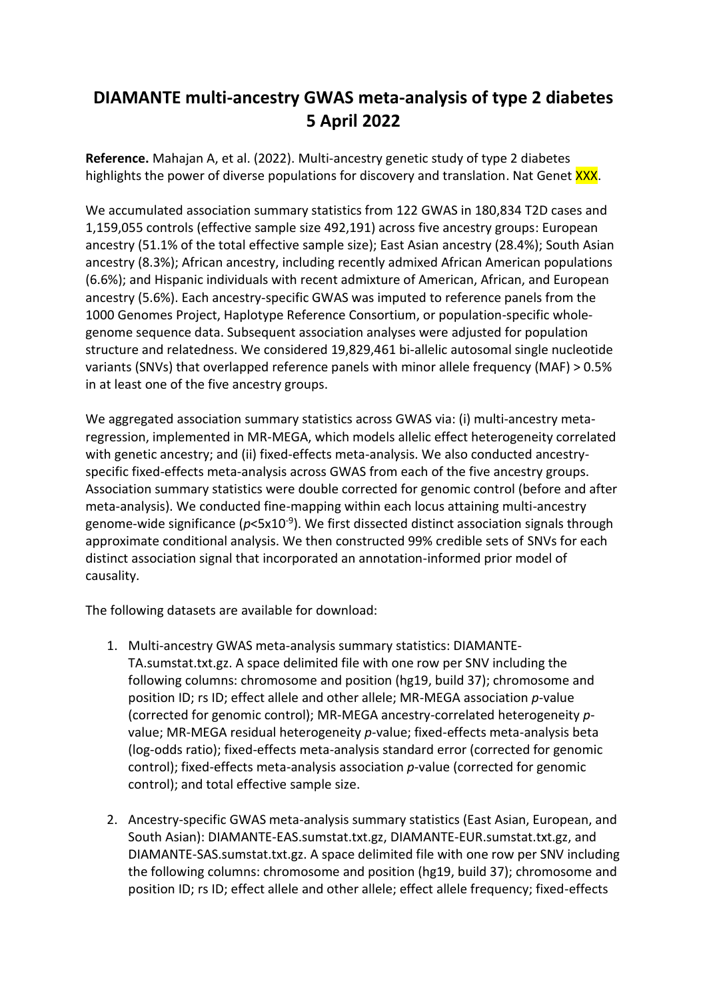## **DIAMANTE multi-ancestry GWAS meta-analysis of type 2 diabetes 5 April 2022**

**Reference.** Mahajan A, et al. (2022). Multi-ancestry genetic study of type 2 diabetes highlights the power of diverse populations for discovery and translation. Nat Genet XXX.

We accumulated association summary statistics from 122 GWAS in 180,834 T2D cases and 1,159,055 controls (effective sample size 492,191) across five ancestry groups: European ancestry (51.1% of the total effective sample size); East Asian ancestry (28.4%); South Asian ancestry (8.3%); African ancestry, including recently admixed African American populations (6.6%); and Hispanic individuals with recent admixture of American, African, and European ancestry (5.6%). Each ancestry-specific GWAS was imputed to reference panels from the 1000 Genomes Project, Haplotype Reference Consortium, or population-specific wholegenome sequence data. Subsequent association analyses were adjusted for population structure and relatedness. We considered 19,829,461 bi-allelic autosomal single nucleotide variants (SNVs) that overlapped reference panels with minor allele frequency (MAF) > 0.5% in at least one of the five ancestry groups.

We aggregated association summary statistics across GWAS via: (i) multi-ancestry metaregression, implemented in MR-MEGA, which models allelic effect heterogeneity correlated with genetic ancestry; and (ii) fixed-effects meta-analysis. We also conducted ancestryspecific fixed-effects meta-analysis across GWAS from each of the five ancestry groups. Association summary statistics were double corrected for genomic control (before and after meta-analysis). We conducted fine-mapping within each locus attaining multi-ancestry genome-wide significance (p<5x10<sup>-9</sup>). We first dissected distinct association signals through approximate conditional analysis. We then constructed 99% credible sets of SNVs for each distinct association signal that incorporated an annotation-informed prior model of causality.

The following datasets are available for download:

- 1. Multi-ancestry GWAS meta-analysis summary statistics: DIAMANTE-TA.sumstat.txt.gz. A space delimited file with one row per SNV including the following columns: chromosome and position (hg19, build 37); chromosome and position ID; rs ID; effect allele and other allele; MR-MEGA association *p*-value (corrected for genomic control); MR-MEGA ancestry-correlated heterogeneity *p*value; MR-MEGA residual heterogeneity *p*-value; fixed-effects meta-analysis beta (log-odds ratio); fixed-effects meta-analysis standard error (corrected for genomic control); fixed-effects meta-analysis association *p*-value (corrected for genomic control); and total effective sample size.
- 2. Ancestry-specific GWAS meta-analysis summary statistics (East Asian, European, and South Asian): DIAMANTE-EAS.sumstat.txt.gz, DIAMANTE-EUR.sumstat.txt.gz, and DIAMANTE-SAS.sumstat.txt.gz. A space delimited file with one row per SNV including the following columns: chromosome and position (hg19, build 37); chromosome and position ID; rs ID; effect allele and other allele; effect allele frequency; fixed-effects